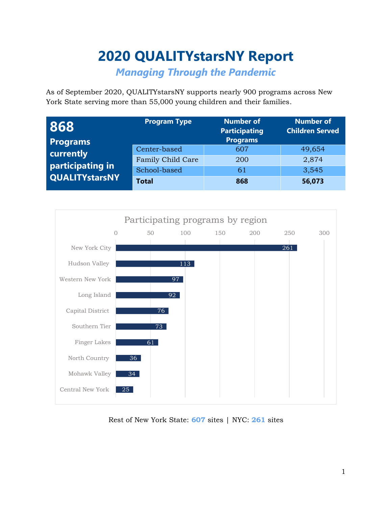# **2020 QUALITYstarsNY Report**

*Managing Through the Pandemic*

As of September 2020, QUALITYstarsNY supports nearly 900 programs across New York State serving more than 55,000 young children and their families.

| 868                   | <b>Program Type</b> | <b>Number of</b><br><b>Participating</b> | <b>Number of</b><br><b>Children Served</b> |
|-----------------------|---------------------|------------------------------------------|--------------------------------------------|
| <b>Programs</b>       |                     | <b>Programs</b>                          |                                            |
| currently             | Center-based        | 607                                      | 49,654                                     |
| participating in      | Family Child Care   | 200                                      | 2,874                                      |
|                       | School-based        | 61                                       | 3,545                                      |
| <b>QUALITYstarsNY</b> | <b>Total</b>        | 868                                      | 56,073                                     |



Rest of New York State: **607** sites | NYC: **261** sites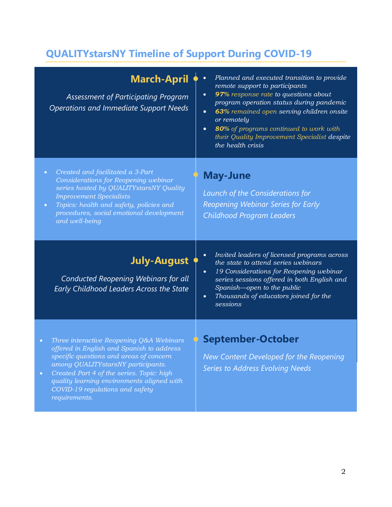# **QUALITYstarsNY Timeline of Support During COVID-19**

| <b>March-April</b><br><b>Assessment of Participating Program</b><br><b>Operations and Immediate Support Needs</b>                                                                                                                                                                                                                               | Planned and executed transition to provide<br>$\bullet$<br>remote support to participants<br>97% response rate to questions about<br>$\bullet$<br>program operation status during pandemic<br>63% remained open serving children onsite<br>$\bullet$<br>or remotely<br>80% of programs continued to work with<br>$\bullet$<br>their Quality Improvement Specialist despite<br>the health crisis |
|-------------------------------------------------------------------------------------------------------------------------------------------------------------------------------------------------------------------------------------------------------------------------------------------------------------------------------------------------|-------------------------------------------------------------------------------------------------------------------------------------------------------------------------------------------------------------------------------------------------------------------------------------------------------------------------------------------------------------------------------------------------|
| Created and facilitated a 3-Part<br>$\bullet$<br>Considerations for Reopening webinar<br>series hosted by QUALITYstarsNY Quality<br><b>Improvement Specialists</b><br>Topics: health and safety, policies and<br>$\bullet$<br>procedures, social emotional development<br>and well-being                                                        | <b>May-June</b><br><b>Launch of the Considerations for</b><br>Reopening Webinar Series for Early<br><b>Childhood Program Leaders</b>                                                                                                                                                                                                                                                            |
| <b>July-August</b><br>Conducted Reopening Webinars for all<br>Early Childhood Leaders Across the State                                                                                                                                                                                                                                          | Invited leaders of licensed programs across<br>$\bullet$<br>the state to attend series webinars<br>19 Considerations for Reopening webinar<br>$\bullet$<br>series sessions offered in both English and<br>Spanish-open to the public<br>Thousands of educators joined for the<br>$\bullet$<br>sessions                                                                                          |
| Three interactive Reopening Q&A Webinars<br>$\bullet$<br>offered in English and Spanish to address<br>specific questions and areas of concern<br>among QUALITYstarsNY participants.<br>Created Part 4 of the series. Topic: high<br>$\bullet$<br>quality learning environments aligned with<br>COVID-19 regulations and safety<br>requirements. | September-October<br>New Content Developed for the Reopening<br><b>Series to Address Evolving Needs</b>                                                                                                                                                                                                                                                                                         |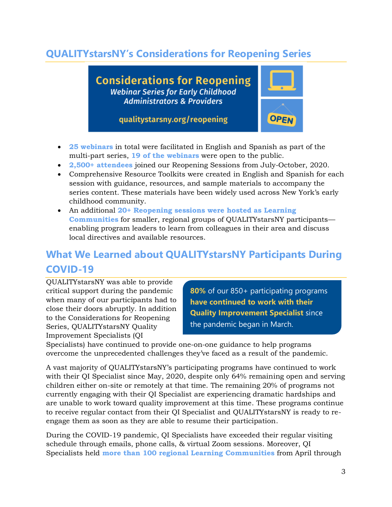### **QUALITYstarsNY's Considerations for Reopening Series**

**Considerations for Reopening Webinar Series for Early Childhood Administrators & Providers** 



qualitystarsny.org/reopening

- **25 webinars** in total were facilitated in English and Spanish as part of the multi-part series, **19 of the webinars** were open to the public.
- **2,500+ attendees** joined our Reopening Sessions from July-October, 2020.
- Comprehensive Resource Toolkits were created in English and Spanish for each session with guidance, resources, and sample materials to accompany the series content. These materials have been widely used across New York's early childhood community.
- An additional **20+ Reopening sessions were hosted as Learning Communities** for smaller, regional groups of QUALITYstarsNY participants enabling program leaders to learn from colleagues in their area and discuss local directives and available resources.

## **What We Learned about QUALITYstarsNY Participants During COVID-19**

QUALITYstarsNY was able to provide critical support during the pandemic when many of our participants had to close their doors abruptly. In addition to the Considerations for Reopening Series, QUALITYstarsNY Quality Improvement Specialists (QI

**80%** of our 850+ participating programs **have continued to work with their Quality Improvement Specialist** since the pandemic began in March.

Specialists) have continued to provide one-on-one guidance to help programs overcome the unprecedented challenges they've faced as a result of the pandemic.

A vast majority of QUALITYstarsNY's participating programs have continued to work with their QI Specialist since May, 2020, despite only 64% remaining open and serving children either on-site or remotely at that time. The remaining 20% of programs not currently engaging with their QI Specialist are experiencing dramatic hardships and are unable to work toward quality improvement at this time. These programs continue to receive regular contact from their QI Specialist and QUALITYstarsNY is ready to reengage them as soon as they are able to resume their participation.

During the COVID-19 pandemic, QI Specialists have exceeded their regular visiting schedule through emails, phone calls, & virtual Zoom sessions. Moreover, QI Specialists held **more than 100 regional Learning Communities** from April through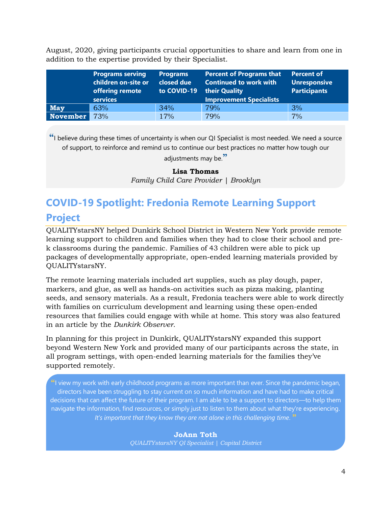August, 2020, giving participants crucial opportunities to share and learn from one in addition to the expertise provided by their Specialist.

|            | <b>Programs serving</b><br>children on-site or<br>offering remote<br>services | <b>Programs</b><br>closed due<br>to COVID-19 | <b>Percent of Programs that</b><br><b>Continued to work with</b><br>their Quality<br><b>Improvement Specialists</b> | Percent of<br>Unresponsive<br><b>Participants</b> |
|------------|-------------------------------------------------------------------------------|----------------------------------------------|---------------------------------------------------------------------------------------------------------------------|---------------------------------------------------|
| <b>May</b> | 63%                                                                           | 34%                                          | 79%                                                                                                                 | 3%                                                |
| November   | 73%                                                                           | 17%                                          | 79%                                                                                                                 | 7%                                                |

**"**I believe during these times of uncertainty is when our QI Specialist is most needed. We need a source of support, to reinforce and remind us to continue our best practices no matter how tough our adjustments may be.**"**

#### **Lisa Thomas**

*Family Child Care Provider | Brooklyn*

## **COVID-19 Spotlight: Fredonia Remote Learning Support Project**

QUALITYstarsNY helped Dunkirk School District in Western New York provide remote learning support to children and families when they had to close their school and prek classrooms during the pandemic. Families of 43 children were able to pick up packages of developmentally appropriate, open-ended learning materials provided by QUALITYstarsNY.

The remote learning materials included art supplies, such as play dough, paper, markers, and glue, as well as hands-on activities such as pizza making, planting seeds, and sensory materials. As a result, Fredonia teachers were able to work directly with families on curriculum development and learning using these open-ended resources that families could engage with while at home. This story was also featured in an article by the *Dunkirk Observer*.

In planning for this project in Dunkirk, QUALITYstarsNY expanded this support beyond Western New York and provided many of our participants across the state, in all program settings, with open-ended learning materials for the families they've supported remotely.

**"**I view my work with early childhood programs as more important than ever. Since the pandemic began, directors have been struggling to stay current on so much information and have had to make critical decisions that can affect the future of their program. I am able to be a support to directors—to help them navigate the information, find resources, or simply just to listen to them about what they're experiencing. *It's important that they know they are not alone in this challenging time*. **"**

> **JoAnn Toth** *QUALITYstarsNY QI Specialist | Capital District*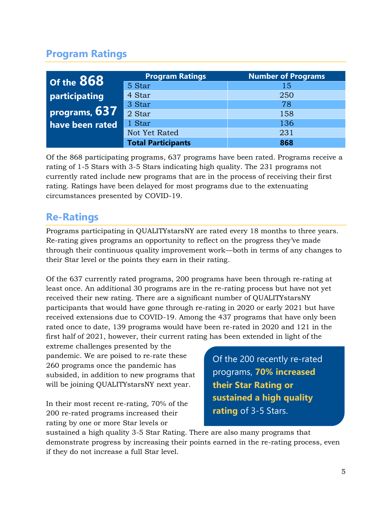### **Program Ratings**

| Of the 868      | <b>Program Ratings</b>    | <b>Number of Programs</b> |  |
|-----------------|---------------------------|---------------------------|--|
|                 | 5 Star                    | 15                        |  |
| participating   | 4 Star                    | 250                       |  |
|                 | 3 Star                    | 78                        |  |
| programs, 637   | 2 Star                    | 158                       |  |
| have been rated | 1 Star                    | 136                       |  |
|                 | Not Yet Rated             | 231                       |  |
|                 | <b>Total Participants</b> | 868                       |  |

Of the 868 participating programs, 637 programs have been rated. Programs receive a rating of 1-5 Stars with 3-5 Stars indicating high quality. The 231 programs not currently rated include new programs that are in the process of receiving their first rating. Ratings have been delayed for most programs due to the extenuating circumstances presented by COVID-19.

### **Re-Ratings**

Programs participating in QUALITYstarsNY are rated every 18 months to three years. Re-rating gives programs an opportunity to reflect on the progress they've made through their continuous quality improvement work—both in terms of any changes to their Star level or the points they earn in their rating.

Of the 637 currently rated programs, 200 programs have been through re-rating at least once. An additional 30 programs are in the re-rating process but have not yet received their new rating. There are a significant number of QUALITYstarsNY participants that would have gone through re-rating in 2020 or early 2021 but have received extensions due to COVID-19. Among the 437 programs that have only been rated once to date, 139 programs would have been re-rated in 2020 and 121 in the first half of 2021, however, their current rating has been extended in light of the

extreme challenges presented by the pandemic. We are poised to re-rate these 260 programs once the pandemic has subsided, in addition to new programs that will be joining QUALITYstarsNY next year.

In their most recent re-rating, 70% of the 200 re-rated programs increased their rating by one or more Star levels or

Of the 200 recently re-rated programs, **70% increased their Star Rating or sustained a high quality rating** of 3-5 Stars.

sustained a high quality 3-5 Star Rating. There are also many programs that demonstrate progress by increasing their points earned in the re-rating process, even if they do not increase a full Star level.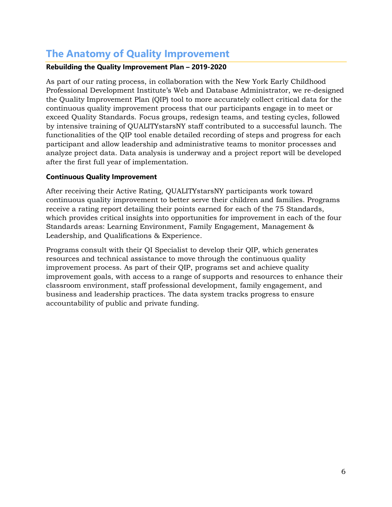### **The Anatomy of Quality Improvement**

#### **Rebuilding the Quality Improvement Plan – 2019-2020**

As part of our rating process, in collaboration with the New York Early Childhood Professional Development Institute's Web and Database Administrator, we re-designed the Quality Improvement Plan (QIP) tool to more accurately collect critical data for the continuous quality improvement process that our participants engage in to meet or exceed Quality Standards. Focus groups, redesign teams, and testing cycles, followed by intensive training of QUALITYstarsNY staff contributed to a successful launch. The functionalities of the QIP tool enable detailed recording of steps and progress for each participant and allow leadership and administrative teams to monitor processes and analyze project data. Data analysis is underway and a project report will be developed after the first full year of implementation.

#### **Continuous Quality Improvement**

After receiving their Active Rating, QUALITYstarsNY participants work toward continuous quality improvement to better serve their children and families. Programs receive a rating report detailing their points earned for each of the 75 Standards, which provides critical insights into opportunities for improvement in each of the four Standards areas: Learning Environment, Family Engagement, Management & Leadership, and Qualifications & Experience.

Programs consult with their QI Specialist to develop their QIP, which generates resources and technical assistance to move through the continuous quality improvement process. As part of their QIP, programs set and achieve quality improvement goals, with access to a range of supports and resources to enhance their classroom environment, staff professional development, family engagement, and business and leadership practices. The data system tracks progress to ensure accountability of public and private funding.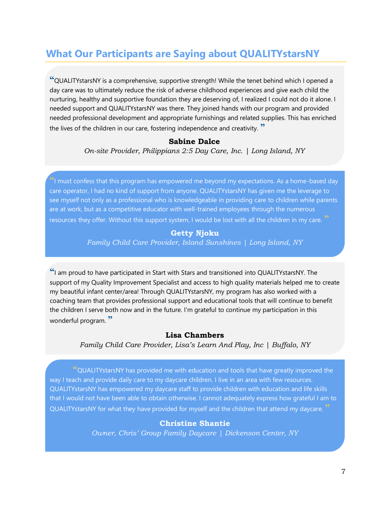### **What Our Participants are Saying about QUALITYstarsNY**

**"**QUALITYstarsNY is a comprehensive, supportive strength! While the tenet behind which I opened a day care was to ultimately reduce the risk of adverse childhood experiences and give each child the nurturing, healthy and supportive foundation they are deserving of, I realized I could not do it alone. I needed support and QUALITYstarsNY was there. They joined hands with our program and provided needed professional development and appropriate furnishings and related supplies. This has enriched the lives of the children in our care, fostering independence and creativity. **"**

#### **Sabine Dalce**

*On-site Provider, Philippians 2:5 Day Care, Inc. | Long Island, NY*

**"**I must confess that this program has empowered me beyond my expectations. As a home-based day care operator, I had no kind of support from anyone. QUALITYstarsNY has given me the leverage to see myself not only as a professional who is knowledgeable in providing care to children while parents are at work, but as a competitive educator with well-trained employees through the numerous resources they offer. Without this support system, I would be lost with all the children in my care. **"**

#### **Getty Njoku** *Family Child Care Provider, Island Sunshines | Long Island, NY*

**"**I am proud to have participated in Start with Stars and transitioned into QUALITYstarsNY. The support of my Quality Improvement Specialist and access to high quality materials helped me to create my beautiful infant center/area! Through QUALITYstarsNY, my program has also worked with a coaching team that provides professional support and educational tools that will continue to benefit the children I serve both now and in the future. I'm grateful to continue my participation in this wonderful program. **"**

#### **Lisa Chambers**

#### *Family Child Care Provider, Lisa's Learn And Play, Inc | Buffalo, NY*

**"**QUALITYstarsNY has provided me with education and tools that have greatly improved the way I teach and provide daily care to my daycare children. I live in an area with few resources. QUALITYstarsNY has empowered my daycare staff to provide children with education and life skills that I would not have been able to obtain otherwise. I cannot adequately express how grateful I am to QUALITYstarsNY for what they have provided for myself and the children that attend my daycare. **"**

#### **Christine Shantie**

*Owner, Chris' Group Family Daycare | Dickenson Center, NY*